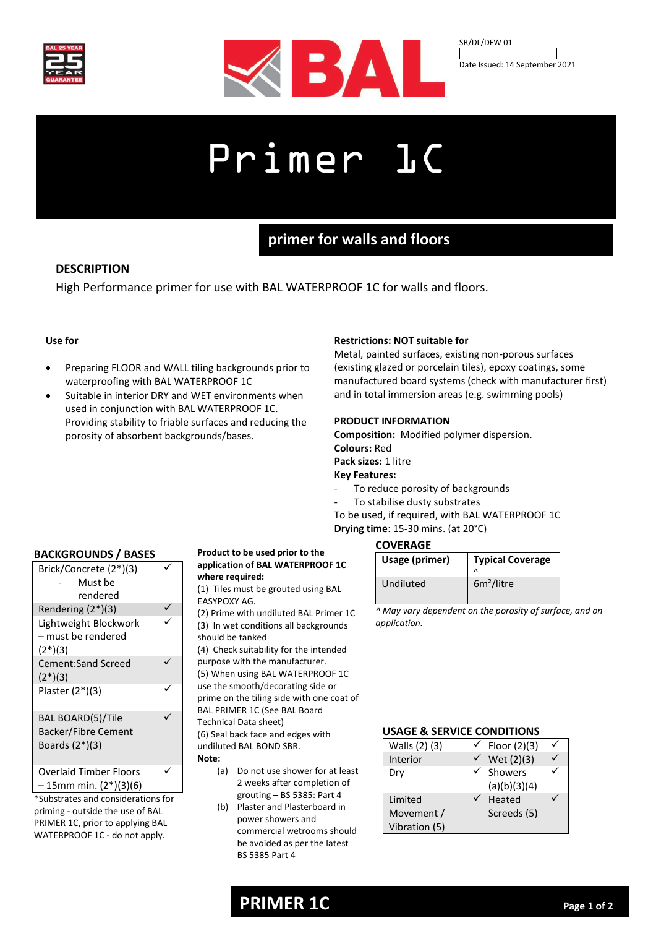



SR/DL/DFW 01 Date Issued: 14 September 2021

# Primer 1C

# **primer for walls and floors**

# **DESCRIPTION**

High Performance primer for use with BAL WATERPROOF 1C for walls and floors.

# **Use for**

- Preparing FLOOR and WALL tiling backgrounds prior to waterproofing with BAL WATERPROOF 1C
- Suitable in interior DRY and WET environments when used in conjunction with BAL WATERPROOF 1C. Providing stability to friable surfaces and reducing the porosity of absorbent backgrounds/bases.

## **Restrictions: NOT suitable for**

Metal, painted surfaces, existing non-porous surfaces (existing glazed or porcelain tiles), epoxy coatings, some manufactured board systems (check with manufacturer first) and in total immersion areas (e.g. swimming pools)

## **PRODUCT INFORMATION**

**Composition:** Modified polymer dispersion. **Colours:** Red **Pack sizes:** 1 litre

# **Key Features:**

- To reduce porosity of backgrounds
- To stabilise dusty substrates

To be used, if required, with BAL WATERPROOF 1C **Drying time**: 15-30 mins. (at 20°C)

# **BACKGROUNDS / BASES**

| Brick/Concrete (2*)(3)<br>Must be<br>rendered                               |  |
|-----------------------------------------------------------------------------|--|
| Rendering $(2^*)(3)$                                                        |  |
| Lightweight Blockwork<br>- must be rendered<br>$(2^*)(3)$                   |  |
| <b>Cement:Sand Screed</b><br>$(2^*)(3)$                                     |  |
| Plaster (2*)(3)                                                             |  |
| <b>BAL BOARD(5)/Tile</b><br><b>Backer/Fibre Cement</b><br>Boards $(2^*)(3)$ |  |
| <b>Overlaid Timber Floors</b><br>- 15mm min. (2*)(3)(6)                     |  |

\*Substrates and considerations for priming - outside the use of BAL PRIMER 1C, prior to applying BAL WATERPROOF 1C - do not apply.

#### **Product to be used prior to the application of BAL WATERPROOF 1C where required:**

(1) Tiles must be grouted using BAL EASYPOXY AG.

(2) Prime with undiluted BAL Primer 1C (3) In wet conditions all backgrounds should be tanked

(4) Check suitability for the intended purpose with the manufacturer. (5) When using BAL WATERPROOF 1C use the smooth/decorating side or prime on the tiling side with one coat of BAL PRIMER 1C (See BAL Board Technical Data sheet) (6) Seal back face and edges with undiluted BAL BOND SBR.

**Note:**

- (a) Do not use shower for at least 2 weeks after completion of grouting – BS 5385: Part 4
- (b) Plaster and Plasterboard in power showers and commercial wetrooms should be avoided as per the latest BS 5385 Part 4

# **COVERAGE**

| Usage (primer) | <b>Typical Coverage</b> |
|----------------|-------------------------|
| Undiluted      | 6m <sup>2</sup> /litre  |

*^ May vary dependent on the porosity of surface, and on application.*

## **USAGE & SERVICE CONDITIONS**

| Walls (2) (3) | Floor (2)(3)            |  |
|---------------|-------------------------|--|
| Interior      | Wet (2)(3)              |  |
| Dry           | Showers<br>(a)(b)(3)(4) |  |
| Limited       | Heated                  |  |
| Movement /    | Screeds (5)             |  |
| Vibration (5) |                         |  |